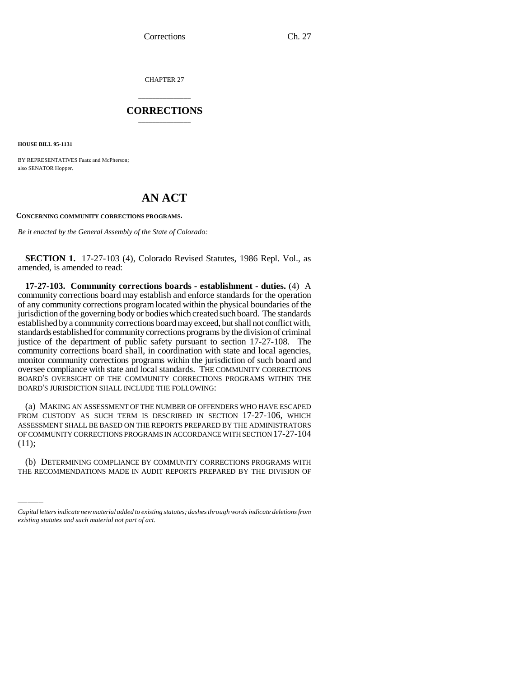Corrections Ch. 27

CHAPTER 27

## \_\_\_\_\_\_\_\_\_\_\_\_\_\_\_ **CORRECTIONS** \_\_\_\_\_\_\_\_\_\_\_\_\_\_\_

**HOUSE BILL 95-1131**

BY REPRESENTATIVES Faatz and McPherson; also SENATOR Hopper.

## **AN ACT**

**CONCERNING COMMUNITY CORRECTIONS PROGRAMS.**

*Be it enacted by the General Assembly of the State of Colorado:*

**SECTION 1.** 17-27-103 (4), Colorado Revised Statutes, 1986 Repl. Vol., as amended, is amended to read:

**17-27-103. Community corrections boards - establishment - duties.** (4) A community corrections board may establish and enforce standards for the operation of any community corrections program located within the physical boundaries of the jurisdiction of the governing body or bodies which created such board. The standards established by a community corrections board may exceed, but shall not conflict with, standards established for community corrections programs by the division of criminal justice of the department of public safety pursuant to section 17-27-108. The community corrections board shall, in coordination with state and local agencies, monitor community corrections programs within the jurisdiction of such board and oversee compliance with state and local standards. THE COMMUNITY CORRECTIONS BOARD'S OVERSIGHT OF THE COMMUNITY CORRECTIONS PROGRAMS WITHIN THE BOARD'S JURISDICTION SHALL INCLUDE THE FOLLOWING:

OF COMMUNITY CORRECTIONS PROGRAMS IN ACCORDANCE WITH SECTION 17-27-104<br>(11) (a) MAKING AN ASSESSMENT OF THE NUMBER OF OFFENDERS WHO HAVE ESCAPED FROM CUSTODY AS SUCH TERM IS DESCRIBED IN SECTION 17-27-106, WHICH ASSESSMENT SHALL BE BASED ON THE REPORTS PREPARED BY THE ADMINISTRATORS (11);

(b) DETERMINING COMPLIANCE BY COMMUNITY CORRECTIONS PROGRAMS WITH THE RECOMMENDATIONS MADE IN AUDIT REPORTS PREPARED BY THE DIVISION OF

*Capital letters indicate new material added to existing statutes; dashes through words indicate deletions from existing statutes and such material not part of act.*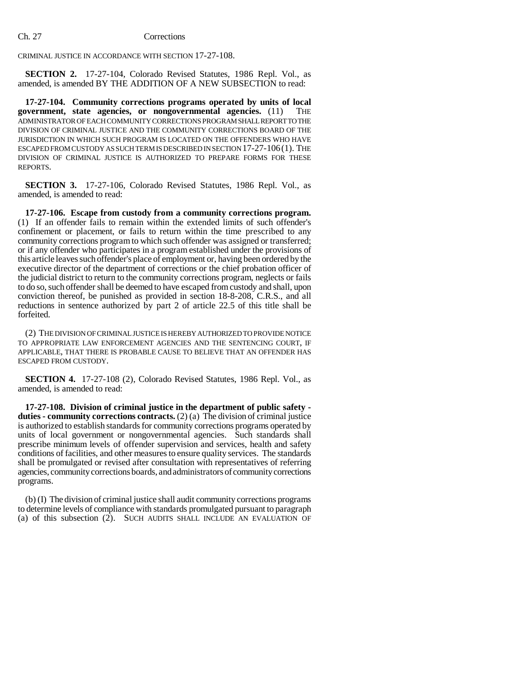## Ch. 27 Corrections

CRIMINAL JUSTICE IN ACCORDANCE WITH SECTION 17-27-108.

**SECTION 2.** 17-27-104, Colorado Revised Statutes, 1986 Repl. Vol., as amended, is amended BY THE ADDITION OF A NEW SUBSECTION to read:

**17-27-104. Community corrections programs operated by units of local government, state agencies, or nongovernmental agencies.** (11) THE ADMINISTRATOR OF EACH COMMUNITY CORRECTIONS PROGRAM SHALL REPORT TO THE DIVISION OF CRIMINAL JUSTICE AND THE COMMUNITY CORRECTIONS BOARD OF THE JURISDICTION IN WHICH SUCH PROGRAM IS LOCATED ON THE OFFENDERS WHO HAVE ESCAPED FROM CUSTODY AS SUCH TERM IS DESCRIBED IN SECTION 17-27-106(1). THE DIVISION OF CRIMINAL JUSTICE IS AUTHORIZED TO PREPARE FORMS FOR THESE REPORTS.

**SECTION 3.** 17-27-106, Colorado Revised Statutes, 1986 Repl. Vol., as amended, is amended to read:

**17-27-106. Escape from custody from a community corrections program.** (1) If an offender fails to remain within the extended limits of such offender's confinement or placement, or fails to return within the time prescribed to any community corrections program to which such offender was assigned or transferred; or if any offender who participates in a program established under the provisions of this article leaves such offender's place of employment or, having been ordered by the executive director of the department of corrections or the chief probation officer of the judicial district to return to the community corrections program, neglects or fails to do so, such offender shall be deemed to have escaped from custody and shall, upon conviction thereof, be punished as provided in section 18-8-208, C.R.S., and all reductions in sentence authorized by part 2 of article 22.5 of this title shall be forfeited.

(2) THE DIVISION OF CRIMINAL JUSTICE IS HEREBY AUTHORIZED TO PROVIDE NOTICE TO APPROPRIATE LAW ENFORCEMENT AGENCIES AND THE SENTENCING COURT, IF APPLICABLE, THAT THERE IS PROBABLE CAUSE TO BELIEVE THAT AN OFFENDER HAS ESCAPED FROM CUSTODY.

**SECTION 4.** 17-27-108 (2), Colorado Revised Statutes, 1986 Repl. Vol., as amended, is amended to read:

**17-27-108. Division of criminal justice in the department of public safety duties - community corrections contracts.** (2) (a) The division of criminal justice is authorized to establish standards for community corrections programs operated by units of local government or nongovernmental agencies. Such standards shall prescribe minimum levels of offender supervision and services, health and safety conditions of facilities, and other measures to ensure quality services. The standards shall be promulgated or revised after consultation with representatives of referring agencies, community corrections boards, and administrators of community corrections programs.

(b) (I) The division of criminal justice shall audit community corrections programs to determine levels of compliance with standards promulgated pursuant to paragraph (a) of this subsection (2). SUCH AUDITS SHALL INCLUDE AN EVALUATION OF